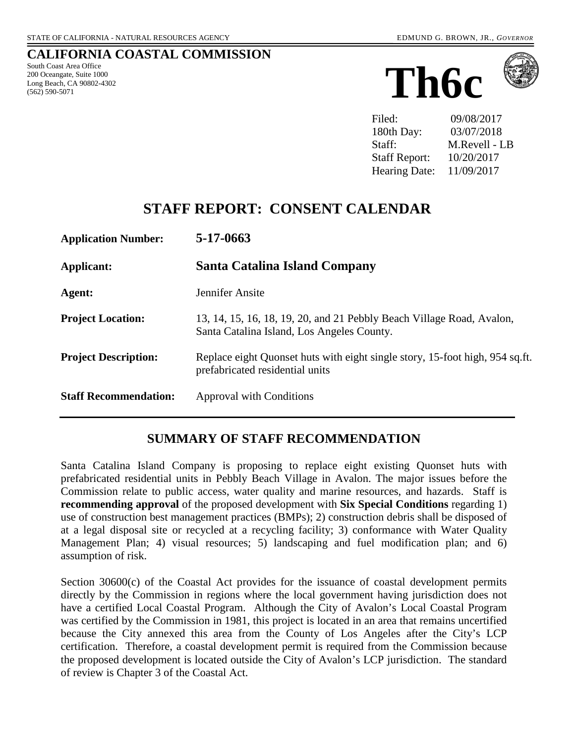#### **CALIFORNIA COASTAL COMMISSION**

South Coast Area Office 200 Oceangate, Suite 1000 Long Beach, CA 90802-4302 (562) 590-5071





Filed: 09/08/2017 180th Day: 03/07/2018 Staff: M.Revell - LB Staff Report: 10/20/2017 Hearing Date: 11/09/2017

# **STAFF REPORT: CONSENT CALENDAR**

| <b>Application Number:</b>   | $5-17-0663$                                                                                                         |
|------------------------------|---------------------------------------------------------------------------------------------------------------------|
| Applicant:                   | Santa Catalina Island Company                                                                                       |
| Agent:                       | Jennifer Ansite                                                                                                     |
| <b>Project Location:</b>     | 13, 14, 15, 16, 18, 19, 20, and 21 Pebbly Beach Village Road, Avalon,<br>Santa Catalina Island, Los Angeles County. |
| <b>Project Description:</b>  | Replace eight Quonset huts with eight single story, 15-foot high, 954 sq.ft.<br>prefabricated residential units     |
| <b>Staff Recommendation:</b> | Approval with Conditions                                                                                            |

### **SUMMARY OF STAFF RECOMMENDATION**

Santa Catalina Island Company is proposing to replace eight existing Quonset huts with prefabricated residential units in Pebbly Beach Village in Avalon. The major issues before the Commission relate to public access, water quality and marine resources, and hazards. Staff is **recommending approval** of the proposed development with **Six Special Conditions** regarding 1) use of construction best management practices (BMPs); 2) construction debris shall be disposed of at a legal disposal site or recycled at a recycling facility; 3) conformance with Water Quality Management Plan; 4) visual resources; 5) landscaping and fuel modification plan; and 6) assumption of risk.

Section 30600(c) of the Coastal Act provides for the issuance of coastal development permits directly by the Commission in regions where the local government having jurisdiction does not have a certified Local Coastal Program. Although the City of Avalon's Local Coastal Program was certified by the Commission in 1981, this project is located in an area that remains uncertified because the City annexed this area from the County of Los Angeles after the City's LCP certification. Therefore, a coastal development permit is required from the Commission because the proposed development is located outside the City of Avalon's LCP jurisdiction. The standard of review is Chapter 3 of the Coastal Act.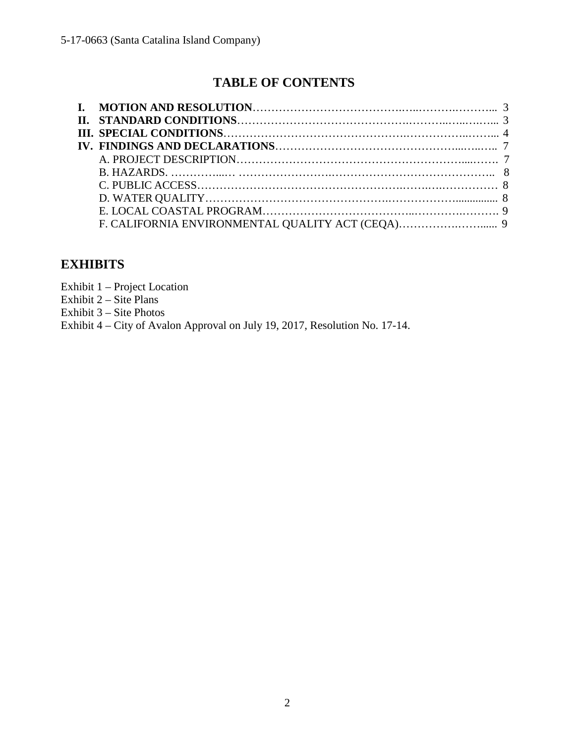# **TABLE OF CONTENTS**

# **EXHIBITS**

Exhibit 1 – Project Location

Exhibit  $2 - \text{Site Plans}$ 

Exhibit 3 – Site Photos

Exhibit 4 – City of Avalon Approval on July 19, 2017, Resolution No. 17-14.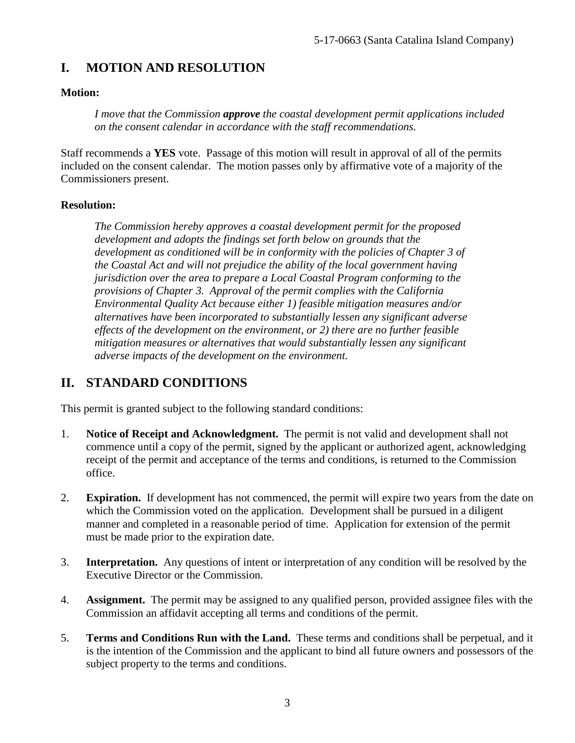# **I. MOTION AND RESOLUTION**

#### **Motion:**

*I move that the Commission approve the coastal development permit applications included on the consent calendar in accordance with the staff recommendations.*

Staff recommends a **YES** vote. Passage of this motion will result in approval of all of the permits included on the consent calendar. The motion passes only by affirmative vote of a majority of the Commissioners present.

#### **Resolution:**

*The Commission hereby approves a coastal development permit for the proposed development and adopts the findings set forth below on grounds that the development as conditioned will be in conformity with the policies of Chapter 3 of the Coastal Act and will not prejudice the ability of the local government having jurisdiction over the area to prepare a Local Coastal Program conforming to the provisions of Chapter 3. Approval of the permit complies with the California Environmental Quality Act because either 1) feasible mitigation measures and/or alternatives have been incorporated to substantially lessen any significant adverse effects of the development on the environment, or 2) there are no further feasible mitigation measures or alternatives that would substantially lessen any significant adverse impacts of the development on the environment.* 

### **II. STANDARD CONDITIONS**

This permit is granted subject to the following standard conditions:

- 1. **Notice of Receipt and Acknowledgment.** The permit is not valid and development shall not commence until a copy of the permit, signed by the applicant or authorized agent, acknowledging receipt of the permit and acceptance of the terms and conditions, is returned to the Commission office.
- 2. **Expiration.** If development has not commenced, the permit will expire two years from the date on which the Commission voted on the application. Development shall be pursued in a diligent manner and completed in a reasonable period of time. Application for extension of the permit must be made prior to the expiration date.
- 3. **Interpretation.** Any questions of intent or interpretation of any condition will be resolved by the Executive Director or the Commission.
- 4. **Assignment.** The permit may be assigned to any qualified person, provided assignee files with the Commission an affidavit accepting all terms and conditions of the permit.
- 5. **Terms and Conditions Run with the Land.** These terms and conditions shall be perpetual, and it is the intention of the Commission and the applicant to bind all future owners and possessors of the subject property to the terms and conditions.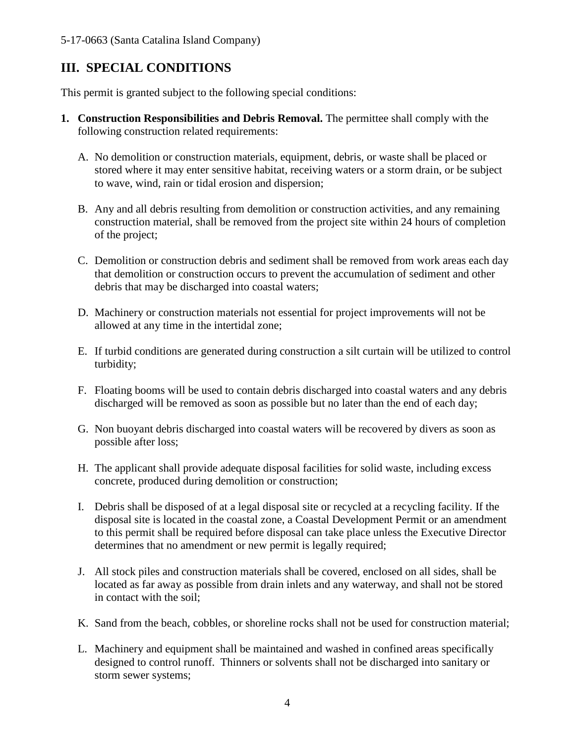# **III. SPECIAL CONDITIONS**

This permit is granted subject to the following special conditions:

- **1. Construction Responsibilities and Debris Removal.** The permittee shall comply with the following construction related requirements:
	- A. No demolition or construction materials, equipment, debris, or waste shall be placed or stored where it may enter sensitive habitat, receiving waters or a storm drain, or be subject to wave, wind, rain or tidal erosion and dispersion;
	- B. Any and all debris resulting from demolition or construction activities, and any remaining construction material, shall be removed from the project site within 24 hours of completion of the project;
	- C. Demolition or construction debris and sediment shall be removed from work areas each day that demolition or construction occurs to prevent the accumulation of sediment and other debris that may be discharged into coastal waters;
	- D. Machinery or construction materials not essential for project improvements will not be allowed at any time in the intertidal zone;
	- E. If turbid conditions are generated during construction a silt curtain will be utilized to control turbidity;
	- F. Floating booms will be used to contain debris discharged into coastal waters and any debris discharged will be removed as soon as possible but no later than the end of each day;
	- G. Non buoyant debris discharged into coastal waters will be recovered by divers as soon as possible after loss;
	- H. The applicant shall provide adequate disposal facilities for solid waste, including excess concrete, produced during demolition or construction;
	- I. Debris shall be disposed of at a legal disposal site or recycled at a recycling facility. If the disposal site is located in the coastal zone, a Coastal Development Permit or an amendment to this permit shall be required before disposal can take place unless the Executive Director determines that no amendment or new permit is legally required;
	- J. All stock piles and construction materials shall be covered, enclosed on all sides, shall be located as far away as possible from drain inlets and any waterway, and shall not be stored in contact with the soil;
	- K. Sand from the beach, cobbles, or shoreline rocks shall not be used for construction material;
	- L. Machinery and equipment shall be maintained and washed in confined areas specifically designed to control runoff. Thinners or solvents shall not be discharged into sanitary or storm sewer systems;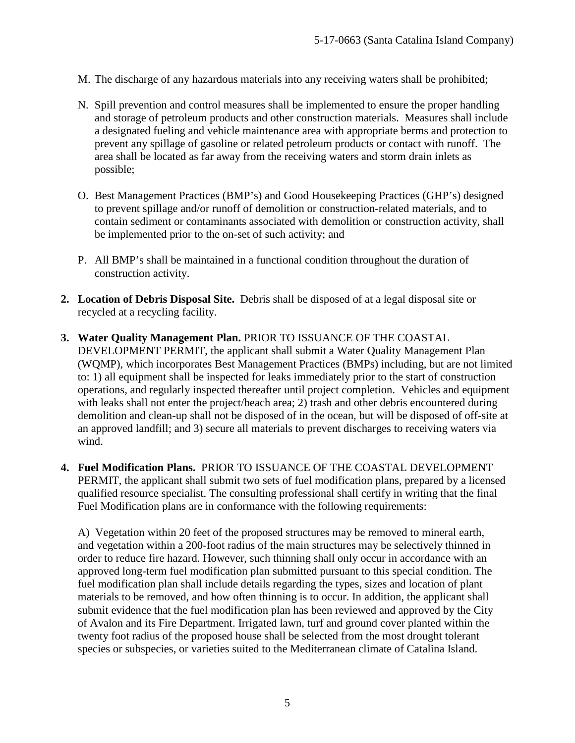- M. The discharge of any hazardous materials into any receiving waters shall be prohibited;
- N. Spill prevention and control measures shall be implemented to ensure the proper handling and storage of petroleum products and other construction materials. Measures shall include a designated fueling and vehicle maintenance area with appropriate berms and protection to prevent any spillage of gasoline or related petroleum products or contact with runoff. The area shall be located as far away from the receiving waters and storm drain inlets as possible;
- O. Best Management Practices (BMP's) and Good Housekeeping Practices (GHP's) designed to prevent spillage and/or runoff of demolition or construction-related materials, and to contain sediment or contaminants associated with demolition or construction activity, shall be implemented prior to the on-set of such activity; and
- P. All BMP's shall be maintained in a functional condition throughout the duration of construction activity.
- **2. Location of Debris Disposal Site.** Debris shall be disposed of at a legal disposal site or recycled at a recycling facility.
- **3. Water Quality Management Plan.** PRIOR TO ISSUANCE OF THE COASTAL DEVELOPMENT PERMIT, the applicant shall submit a Water Quality Management Plan (WQMP), which incorporates Best Management Practices (BMPs) including, but are not limited to: 1) all equipment shall be inspected for leaks immediately prior to the start of construction operations, and regularly inspected thereafter until project completion. Vehicles and equipment with leaks shall not enter the project/beach area; 2) trash and other debris encountered during demolition and clean-up shall not be disposed of in the ocean, but will be disposed of off-site at an approved landfill; and 3) secure all materials to prevent discharges to receiving waters via wind.
- **4. Fuel Modification Plans.** PRIOR TO ISSUANCE OF THE COASTAL DEVELOPMENT PERMIT, the applicant shall submit two sets of fuel modification plans, prepared by a licensed qualified resource specialist. The consulting professional shall certify in writing that the final Fuel Modification plans are in conformance with the following requirements:

A) Vegetation within 20 feet of the proposed structures may be removed to mineral earth, and vegetation within a 200-foot radius of the main structures may be selectively thinned in order to reduce fire hazard. However, such thinning shall only occur in accordance with an approved long-term fuel modification plan submitted pursuant to this special condition. The fuel modification plan shall include details regarding the types, sizes and location of plant materials to be removed, and how often thinning is to occur. In addition, the applicant shall submit evidence that the fuel modification plan has been reviewed and approved by the City of Avalon and its Fire Department. Irrigated lawn, turf and ground cover planted within the twenty foot radius of the proposed house shall be selected from the most drought tolerant species or subspecies, or varieties suited to the Mediterranean climate of Catalina Island.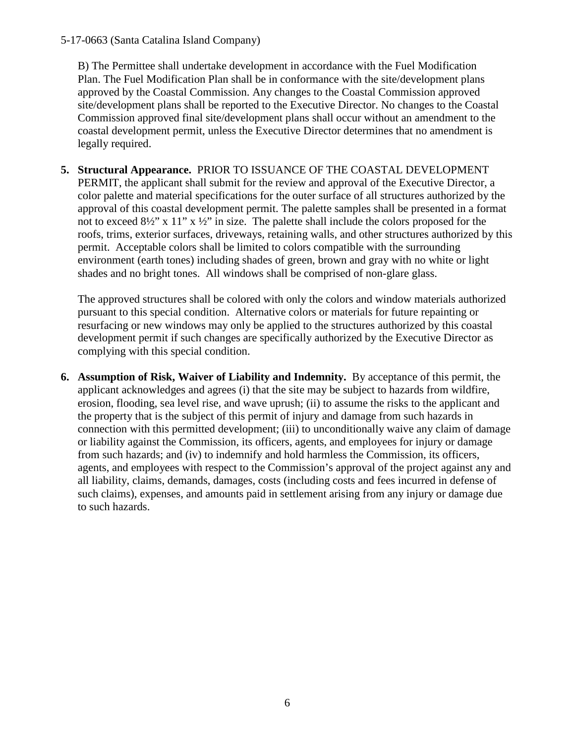#### 5-17-0663 (Santa Catalina Island Company)

B) The Permittee shall undertake development in accordance with the Fuel Modification Plan. The Fuel Modification Plan shall be in conformance with the site/development plans approved by the Coastal Commission. Any changes to the Coastal Commission approved site/development plans shall be reported to the Executive Director. No changes to the Coastal Commission approved final site/development plans shall occur without an amendment to the coastal development permit, unless the Executive Director determines that no amendment is legally required.

**5. Structural Appearance.** PRIOR TO ISSUANCE OF THE COASTAL DEVELOPMENT PERMIT, the applicant shall submit for the review and approval of the Executive Director, a color palette and material specifications for the outer surface of all structures authorized by the approval of this coastal development permit. The palette samples shall be presented in a format not to exceed 8½" x 11" x ½" in size. The palette shall include the colors proposed for the roofs, trims, exterior surfaces, driveways, retaining walls, and other structures authorized by this permit. Acceptable colors shall be limited to colors compatible with the surrounding environment (earth tones) including shades of green, brown and gray with no white or light shades and no bright tones. All windows shall be comprised of non-glare glass.

The approved structures shall be colored with only the colors and window materials authorized pursuant to this special condition. Alternative colors or materials for future repainting or resurfacing or new windows may only be applied to the structures authorized by this coastal development permit if such changes are specifically authorized by the Executive Director as complying with this special condition.

**6. Assumption of Risk, Waiver of Liability and Indemnity.** By acceptance of this permit, the applicant acknowledges and agrees (i) that the site may be subject to hazards from wildfire, erosion, flooding, sea level rise, and wave uprush; (ii) to assume the risks to the applicant and the property that is the subject of this permit of injury and damage from such hazards in connection with this permitted development; (iii) to unconditionally waive any claim of damage or liability against the Commission, its officers, agents, and employees for injury or damage from such hazards; and (iv) to indemnify and hold harmless the Commission, its officers, agents, and employees with respect to the Commission's approval of the project against any and all liability, claims, demands, damages, costs (including costs and fees incurred in defense of such claims), expenses, and amounts paid in settlement arising from any injury or damage due to such hazards.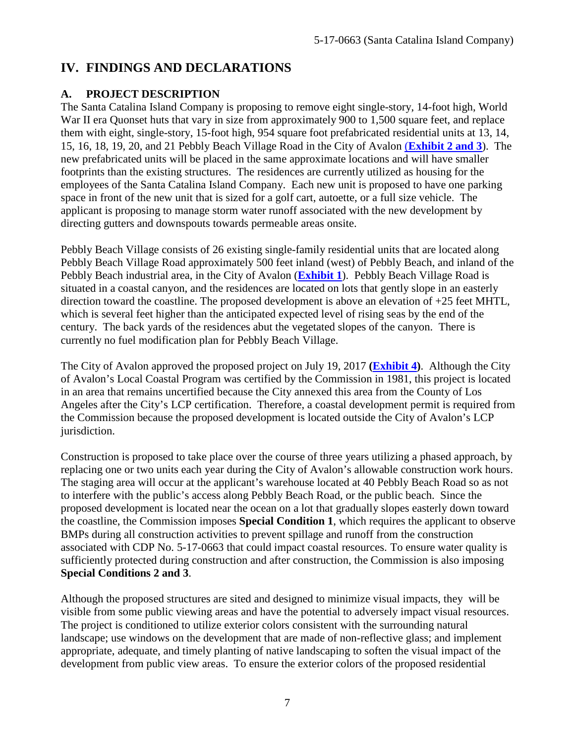## **IV. FINDINGS AND DECLARATIONS**

### **A. PROJECT DESCRIPTION**

The Santa Catalina Island Company is proposing to remove eight single-story, 14-foot high, World War II era Quonset huts that vary in size from approximately 900 to 1,500 square feet, and replace them with eight, single-story, 15-foot high, 954 square foot prefabricated residential units at 13, 14, 15, 16, 18, 19, 20, and 21 Pebbly Beach Village Road in the City of Avalon (**[Exhibit 2](https://documents.coastal.ca.gov/reports/2017/11/Th6c/Th6c-11-2017-exhibits.pdf) and 3**). The new prefabricated units will be placed in the same approximate locations and will have smaller footprints than the existing structures. The residences are currently utilized as housing for the employees of the Santa Catalina Island Company. Each new unit is proposed to have one parking space in front of the new unit that is sized for a golf cart, autoette, or a full size vehicle. The applicant is proposing to manage storm water runoff associated with the new development by directing gutters and downspouts towards permeable areas onsite.

Pebbly Beach Village consists of 26 existing single-family residential units that are located along Pebbly Beach Village Road approximately 500 feet inland (west) of Pebbly Beach, and inland of the Pebbly Beach industrial area, in the City of Avalon (**[Exhibit 1](https://documents.coastal.ca.gov/reports/2017/11/Th6c/Th6c-11-2017-exhibits.pdf)**). Pebbly Beach Village Road is situated in a coastal canyon, and the residences are located on lots that gently slope in an easterly direction toward the coastline. The proposed development is above an elevation of +25 feet MHTL, which is several feet higher than the anticipated expected level of rising seas by the end of the century. The back yards of the residences abut the vegetated slopes of the canyon. There is currently no fuel modification plan for Pebbly Beach Village.

The City of Avalon approved the proposed project on July 19, 2017 **[\(Exhibit 4\)](https://documents.coastal.ca.gov/reports/2017/11/Th6c/Th6c-11-2017-exhibits.pdf)**. Although the City of Avalon's Local Coastal Program was certified by the Commission in 1981, this project is located in an area that remains uncertified because the City annexed this area from the County of Los Angeles after the City's LCP certification. Therefore, a coastal development permit is required from the Commission because the proposed development is located outside the City of Avalon's LCP jurisdiction.

Construction is proposed to take place over the course of three years utilizing a phased approach, by replacing one or two units each year during the City of Avalon's allowable construction work hours. The staging area will occur at the applicant's warehouse located at 40 Pebbly Beach Road so as not to interfere with the public's access along Pebbly Beach Road, or the public beach. Since the proposed development is located near the ocean on a lot that gradually slopes easterly down toward the coastline, the Commission imposes **Special Condition 1**, which requires the applicant to observe BMPs during all construction activities to prevent spillage and runoff from the construction associated with CDP No. 5-17-0663 that could impact coastal resources. To ensure water quality is sufficiently protected during construction and after construction, the Commission is also imposing **Special Conditions 2 and 3**.

Although the proposed structures are sited and designed to minimize visual impacts, they will be visible from some public viewing areas and have the potential to adversely impact visual resources. The project is conditioned to utilize exterior colors consistent with the surrounding natural landscape; use windows on the development that are made of non-reflective glass; and implement appropriate, adequate, and timely planting of native landscaping to soften the visual impact of the development from public view areas. To ensure the exterior colors of the proposed residential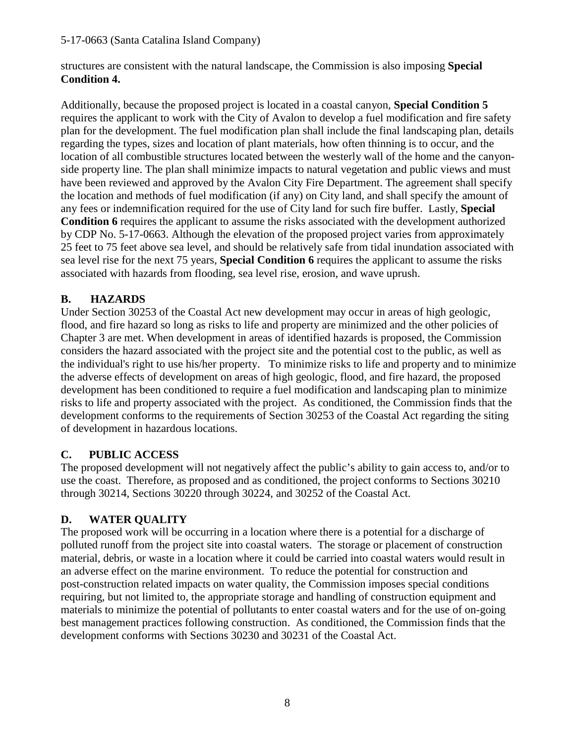structures are consistent with the natural landscape, the Commission is also imposing **Special Condition 4.** 

Additionally, because the proposed project is located in a coastal canyon, **Special Condition 5** requires the applicant to work with the City of Avalon to develop a fuel modification and fire safety plan for the development. The fuel modification plan shall include the final landscaping plan, details regarding the types, sizes and location of plant materials, how often thinning is to occur, and the location of all combustible structures located between the westerly wall of the home and the canyonside property line. The plan shall minimize impacts to natural vegetation and public views and must have been reviewed and approved by the Avalon City Fire Department. The agreement shall specify the location and methods of fuel modification (if any) on City land, and shall specify the amount of any fees or indemnification required for the use of City land for such fire buffer. Lastly, **Special Condition 6** requires the applicant to assume the risks associated with the development authorized by CDP No. 5-17-0663. Although the elevation of the proposed project varies from approximately 25 feet to 75 feet above sea level, and should be relatively safe from tidal inundation associated with sea level rise for the next 75 years, **Special Condition 6** requires the applicant to assume the risks associated with hazards from flooding, sea level rise, erosion, and wave uprush.

### **B. HAZARDS**

Under Section 30253 of the Coastal Act new development may occur in areas of high geologic, flood, and fire hazard so long as risks to life and property are minimized and the other policies of Chapter 3 are met. When development in areas of identified hazards is proposed, the Commission considers the hazard associated with the project site and the potential cost to the public, as well as the individual's right to use his/her property. To minimize risks to life and property and to minimize the adverse effects of development on areas of high geologic, flood, and fire hazard, the proposed development has been conditioned to require a fuel modification and landscaping plan to minimize risks to life and property associated with the project. As conditioned, the Commission finds that the development conforms to the requirements of Section 30253 of the Coastal Act regarding the siting of development in hazardous locations.

### **C. PUBLIC ACCESS**

The proposed development will not negatively affect the public's ability to gain access to, and/or to use the coast. Therefore, as proposed and as conditioned, the project conforms to Sections 30210 through 30214, Sections 30220 through 30224, and 30252 of the Coastal Act.

### **D. WATER QUALITY**

The proposed work will be occurring in a location where there is a potential for a discharge of polluted runoff from the project site into coastal waters. The storage or placement of construction material, debris, or waste in a location where it could be carried into coastal waters would result in an adverse effect on the marine environment. To reduce the potential for construction and post-construction related impacts on water quality, the Commission imposes special conditions requiring, but not limited to, the appropriate storage and handling of construction equipment and materials to minimize the potential of pollutants to enter coastal waters and for the use of on-going best management practices following construction. As conditioned, the Commission finds that the development conforms with Sections 30230 and 30231 of the Coastal Act.